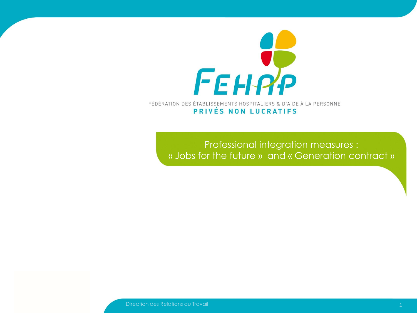

FÉDÉRATION DES ÉTABLISSEMENTS HOSPITALIERS & D'AIDE À LA PERSONNE PRIVÉS NON LUCRATIFS

> Professional integration measures : « Jobs for the future » and « Generation contract »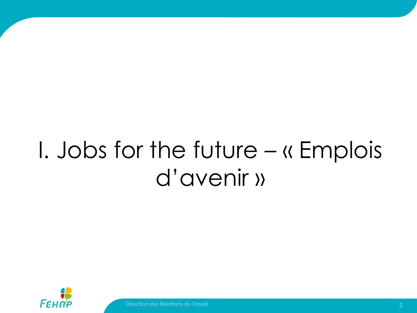## I. Jobs for the future – « Emplois d'avenir »

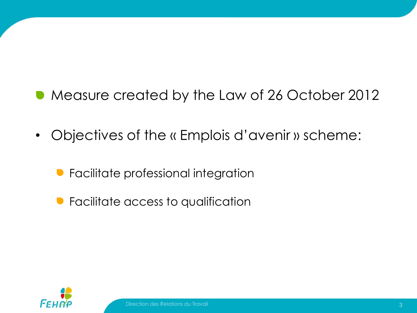## Measure created by the Law of 26 October 2012

- Objectives of the « Emplois d'avenir » scheme:
	- **•** Facilitate professional integration
	- **•** Facilitate access to qualification

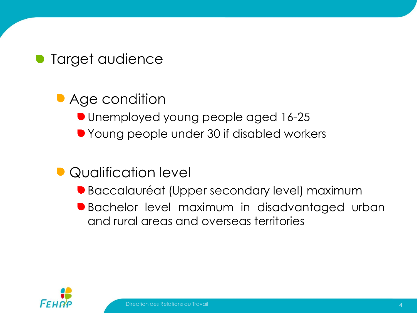**Target audience** 

**• Age condition** Unemployed young people aged 16-25 ● Young people under 30 if disabled workers

#### Qualification level

- Baccalauréat (Upper secondary level) maximum
- Bachelor level maximum in disadvantaged urban and rural areas and overseas territories

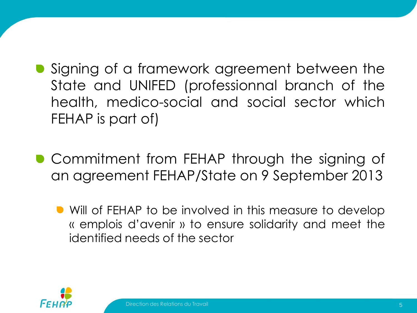- **•** Signing of a framework agreement between the State and UNIFED (professionnal branch of the health, medico-social and social sector which FEHAP is part of)
- **Commitment from FEHAP through the signing of** an agreement FEHAP/State on 9 September 2013
	- **•** Will of FEHAP to be involved in this measure to develop « emplois d'avenir » to ensure solidarity and meet the identified needs of the sector

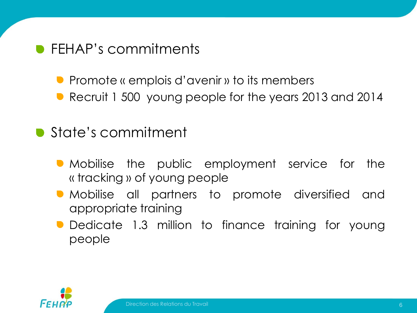#### **• FEHAP's commitments**

- **P** Promote « emplois d'avenir » to its members
- Recruit 1 500 young people for the years 2013 and 2014

#### **State's commitment**

- Mobilise the public employment service for the « tracking » of young people
- Mobilise all partners to promote diversified and appropriate training
- **Dedicate 1.3 million to finance training for young** people

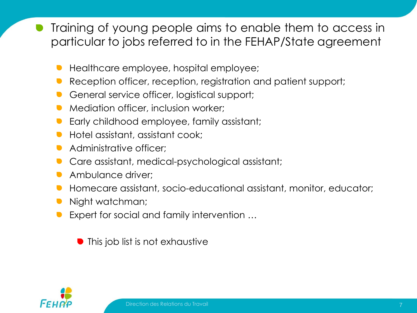Training of young people aims to enable them to access in particular to jobs referred to in the FEHAP/State agreement

- Healthcare employee, hospital employee;
- Reception officer, reception, registration and patient support;
- General service officer, logistical support;
- Mediation officer, inclusion worker;
- Early childhood employee, family assistant;
- Hotel assistant, assistant cook;
- Administrative officer;
- Care assistant, medical-psychological assistant;
- Ambulance driver;  $\blacksquare$
- Homecare assistant, socio-educational assistant, monitor, educator;
- Night watchman;
- Expert for social and family intervention …

This job list is not exhaustive

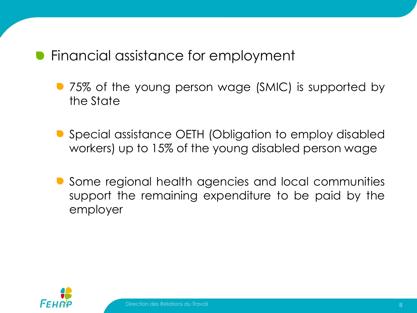#### Financial assistance for employment

- 75% of the young person wage (SMIC) is supported by the State
- Special assistance OETH (Obligation to employ disabled workers) up to 15% of the young disabled person wage
- **•** Some regional health agencies and local communities support the remaining expenditure to be paid by the employer

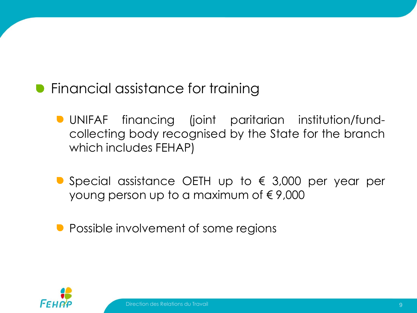- **•** Financial assistance for training
	- UNIFAF financing (joint paritarian institution/fundcollecting body recognised by the State for the branch which includes FEHAP)
	- Special assistance OETH up to  $\epsilon$  3,000 per year per young person up to a maximum of  $\epsilon$  9,000
	- Possible involvement of some regions

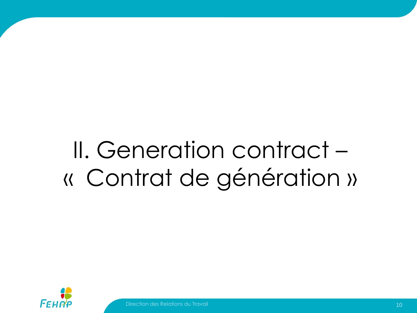# II. Generation contract – « Contrat de génération »

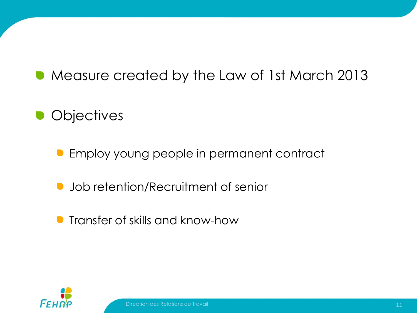## **• Measure created by the Law of 1st March 2013**

## **Objectives**

- **Employ young people in permanent contract**
- Job retention/Recruitment of senior  $\bullet$
- **•** Transfer of skills and know-how

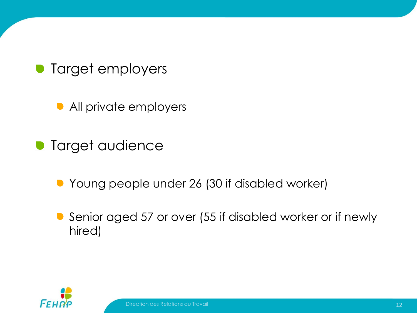Target employers

**• All private employers** 

Target audience

Young people under 26 (30 if disabled worker)

Senior aged 57 or over (55 if disabled worker or if newly hired)

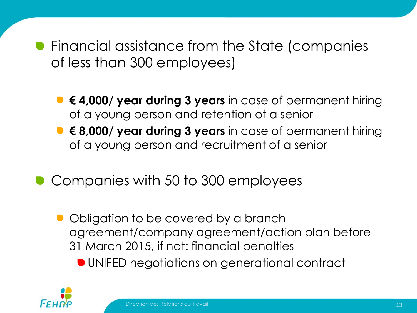**•** Financial assistance from the State (companies of less than 300 employees)

- **€ 4,000/ year during 3 years** in case of permanent hiring of a young person and retention of a senior
- **€ 8,000/ year during 3 years** in case of permanent hiring of a young person and recruitment of a senior
- Companies with 50 to 300 employees
	- Obligation to be covered by a branch agreement/company agreement/action plan before 31 March 2015, if not: financial penalties
		- UNIFED negotiations on generational contract